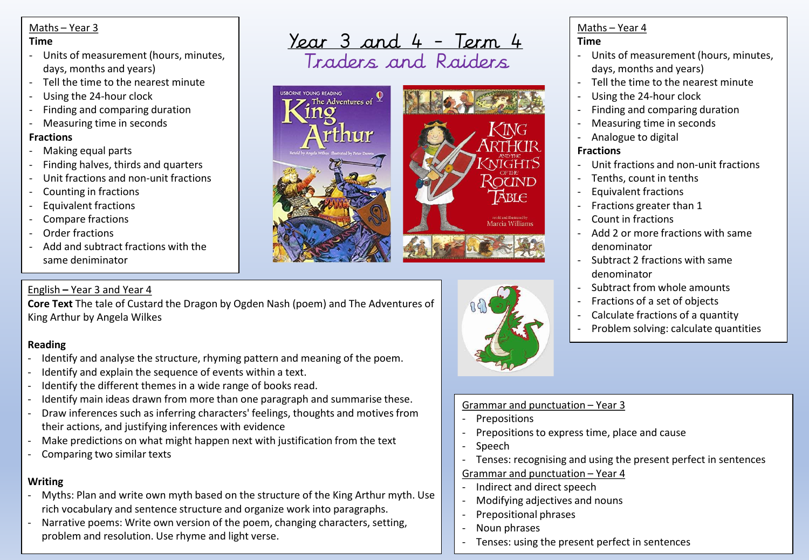#### Maths – Year 3

#### **Time**

- Units of measurement (hours, minutes, days, months and years)
- Tell the time to the nearest minute
- Using the 24-hour clock
- Finding and comparing duration
- Measuring time in seconds

## **Fractions**

- Making equal parts
- Finding halves, thirds and quarters
- Unit fractions and non-unit fractions
- Counting in fractions
- Equivalent fractions
- Compare fractions
- Order fractions
- Add and subtract fractions with the same deniminator

# English **–** Year 3 and Year 4

**Core Text** The tale of Custard the Dragon by Ogden Nash (poem) and The Adventures of King Arthur by Angela Wilkes

# **Reading**

- Identify and analyse the structure, rhyming pattern and meaning of the poem.
- Identify and explain the sequence of events within a text.
- Identify the different themes in a wide range of books read.
- Identify main ideas drawn from more than one paragraph and summarise these.
- Draw inferences such as inferring characters' feelings, thoughts and motives from their actions, and justifying inferences with evidence
- Make predictions on what might happen next with justification from the text
- Comparing two similar texts

# **Writing**

- Myths: Plan and write own myth based on the structure of the King Arthur myth. Use rich vocabulary and sentence structure and organize work into paragraphs.
- Narrative poems: Write own version of the poem, changing characters, setting, problem and resolution. Use rhyme and light verse.

<u>Year 3 and 4 - Term 4</u> Traders and Raiders



#### Maths – Year 4 **Time**

- Units of measurement (hours, minutes, days, months and years)
- Tell the time to the nearest minute
- Using the 24-hour clock
- Finding and comparing duration
- Measuring time in seconds
- Analogue to digital

## **Fractions**

- Unit fractions and non-unit fractions
- Tenths, count in tenths
- Equivalent fractions
- Fractions greater than 1
- Count in fractions
- Add 2 or more fractions with same denominator
- Subtract 2 fractions with same denominator
- Subtract from whole amounts
- Fractions of a set of objects
- Calculate fractions of a quantity
- Problem solving: calculate quantities



- **Prepositions**
- Prepositions to express time, place and cause
- Speech
- Tenses: recognising and using the present perfect in sentences

# Grammar and punctuation – Year 4

- Indirect and direct speech
- Modifying adjectives and nouns
- Prepositional phrases
- Noun phrases
- Tenses: using the present perfect in sentences